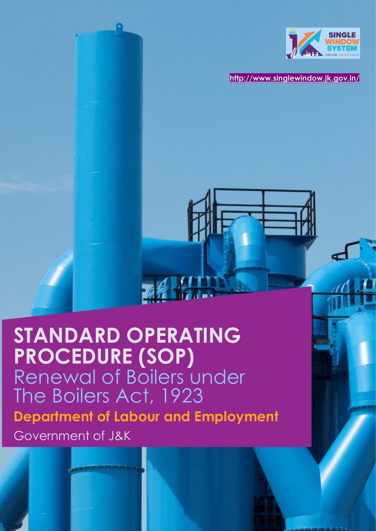

**<http://www.singlewindow.jk.gov.in/>**

# **STANDARD OPERATING PROCEDURE (SOP)** Renewal of Boilers under The Boilers Act, 1923 **Department of Labour and Employment**  Government of J&K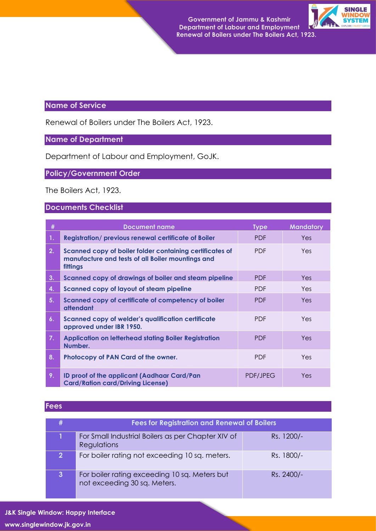

# **Name of Service**

Renewal of Boilers under The Boilers Act, 1923.

# **Name of Department**

Department of Labour and Employment, GoJK.

# **Policy/Government Order**

The Boilers Act, 1923.

#### **Documents Checklist**

| #  | Document name                                                                                                             | <b>Type</b>     | <b>Mandatory</b> |
|----|---------------------------------------------------------------------------------------------------------------------------|-----------------|------------------|
| 1. | <b>Registration/previous renewal certificate of Boiler</b>                                                                | <b>PDF</b>      | Yes.             |
| 2. | Scanned copy of boiler folder containing certificates of<br>manufacture and tests of all Boiler mountings and<br>fittings | <b>PDF</b>      | Yes.             |
| 3. | Scanned copy of drawings of boiler and steam pipeline                                                                     | <b>PDF</b>      | Yes.             |
| 4. | <b>Scanned copy of layout of steam pipeline</b>                                                                           | <b>PDF</b>      | Yes.             |
| 5. | Scanned copy of certificate of competency of boiler<br>attendant                                                          | <b>PDF</b>      | Yes.             |
| 6. | <b>Scanned copy of welder's qualification certificate</b><br>approved under IBR 1950.                                     | <b>PDF</b>      | Yes.             |
| 7. | <b>Application on letterhead stating Boiler Registration</b><br>Number.                                                   | <b>PDF</b>      | Yes.             |
| 8. | Photocopy of PAN Card of the owner.                                                                                       | <b>PDF</b>      | Yes.             |
| 9. | ID proof of the applicant (Aadhaar Card/Pan<br><b>Card/Ration card/Driving License)</b>                                   | <b>PDF/JPEG</b> | Yes.             |

#### **Fees**

|                | <b>Fees for Registration and Renewal of Boilers</b>                           |            |  |  |  |
|----------------|-------------------------------------------------------------------------------|------------|--|--|--|
|                | For Small Industrial Boilers as per Chapter XIV of<br>Regulations             | Rs. 1200/- |  |  |  |
| $\overline{2}$ | For boiler rating not exceeding 10 sq. meters.                                | Rs. 1800/- |  |  |  |
| 3              | For boiler rating exceeding 10 sq. Meters but<br>not exceeding 30 sq. Meters. | Rs. 2400/- |  |  |  |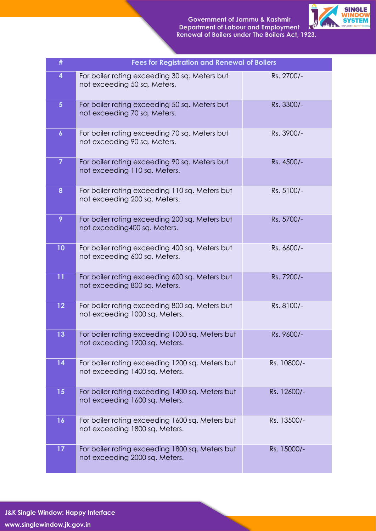

| #                | <b>Fees for Registration and Renewal of Boilers</b>                               |             |
|------------------|-----------------------------------------------------------------------------------|-------------|
| 4                | For boiler rating exceeding 30 sq. Meters but<br>not exceeding 50 sq. Meters.     | Rs. 2700/-  |
| 5 <sup>5</sup>   | For boiler rating exceeding 50 sq. Meters but<br>not exceeding 70 sq. Meters.     | Rs. 3300/-  |
| $\boldsymbol{6}$ | For boiler rating exceeding 70 sq. Meters but<br>not exceeding 90 sq. Meters.     | Rs. 3900/-  |
| $\overline{7}$   | For boiler rating exceeding 90 sq. Meters but<br>not exceeding 110 sq. Meters.    | Rs. 4500/-  |
| 8                | For boiler rating exceeding 110 sq. Meters but<br>not exceeding 200 sq. Meters.   | Rs. 5100/-  |
| 9                | For boiler rating exceeding 200 sq. Meters but<br>not exceeding400 sq. Meters.    | Rs. 5700/-  |
| 10               | For boiler rating exceeding 400 sq. Meters but<br>not exceeding 600 sq. Meters.   | Rs. 6600/-  |
| 11               | For boiler rating exceeding 600 sq. Meters but<br>not exceeding 800 sq. Meters.   | Rs. 7200/-  |
| 12               | For boiler rating exceeding 800 sq. Meters but<br>not exceeding 1000 sq. Meters.  | Rs. 8100/-  |
| 13               | For boiler rating exceeding 1000 sq. Meters but<br>not exceeding 1200 sq. Meters. | Rs. 9600/-  |
| 14               | For boiler rating exceeding 1200 sq. Meters but<br>not exceeding 1400 sq. Meters. | Rs. 10800/- |
| 15               | For boiler rating exceeding 1400 sq. Meters but<br>not exceeding 1600 sq. Meters. | Rs. 12600/- |
| 16               | For boiler rating exceeding 1600 sq. Meters but<br>not exceeding 1800 sq. Meters. | Rs. 13500/- |
| 17               | For boiler rating exceeding 1800 sq. Meters but<br>not exceeding 2000 sq. Meters. | Rs. 15000/- |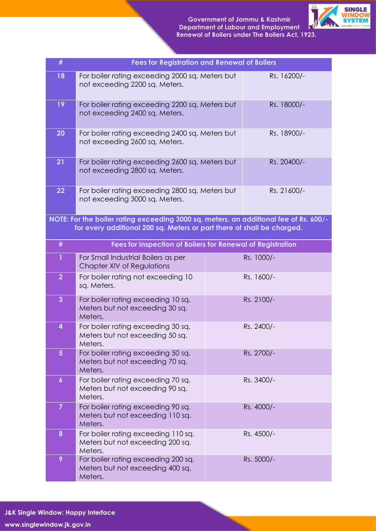

| #                | <b>Fees for Registration and Renewal of Boilers</b>                                                                                                             |             |             |
|------------------|-----------------------------------------------------------------------------------------------------------------------------------------------------------------|-------------|-------------|
| 18               | For boiler rating exceeding 2000 sq. Meters but<br>not exceeding 2200 sq. Meters.                                                                               | Rs. 16200/- |             |
| 19               | For boiler rating exceeding 2200 sq. Meters but<br>not exceeding 2400 sq. Meters.                                                                               | Rs. 18000/- |             |
| 20               | For boiler rating exceeding 2400 sq. Meters but<br>not exceeding 2600 sq. Meters.                                                                               |             | Rs. 18900/- |
| 21               | For boiler rating exceeding 2600 sq. Meters but<br>not exceeding 2800 sq. Meters.                                                                               |             | Rs. 20400/- |
| 22               | For boiler rating exceeding 2800 sq. Meters but<br>not exceeding 3000 sq. Meters.                                                                               |             | Rs. 21600/- |
|                  | NOTE: For the boiler rating exceeding 3000 sq. meters, an additional fee of Rs. 600/-<br>for every additional 200 sq. Meters or part there of shall be charged. |             |             |
| #                | Fees for Inspection of Boilers for Renewal of Registration                                                                                                      |             |             |
| $\mathbf{1}$     | For Small Industrial Boilers as per<br>Rs. 1000/-<br>Chapter XIV of Regulations                                                                                 |             |             |
| $\overline{2}$   | For boiler rating not exceeding 10<br>Rs. 1600/-<br>sq. Meters.                                                                                                 |             |             |
| $\overline{3}$   | For boiler rating exceeding 10 sq.<br>Meters but not exceeding 30 sq.<br>Meters.                                                                                |             | Rs. 2100/-  |
| 4                | For boiler rating exceeding 30 sq.<br>Rs. 2400/-<br>Meters but not exceeding 50 sq.<br>Meters.                                                                  |             |             |
| $5\phantom{a}$   | For boiler rating exceeding 50 sq.<br>Meters but not exceeding 70 sq.<br>Meters.                                                                                |             | Rs. 2700/-  |
| $\boldsymbol{6}$ | For boiler rating exceeding 70 sq.<br>Meters but not exceeding 90 sq.<br>Meters.                                                                                |             | Rs. 3400/-  |
| $\overline{7}$   | For boiler rating exceeding 90 sq.<br>Meters but not exceeding 110 sq.<br>Meters.                                                                               |             | Rs. 4000/-  |
| 8                | For boiler rating exceeding 110 sq.<br>Meters but not exceeding 200 sq.<br>Meters.                                                                              |             | Rs. 4500/-  |
| 9                | For boiler rating exceeding 200 sq.<br>Meters but not exceeding 400 sq.<br>Meters.                                                                              |             | Rs. 5000/-  |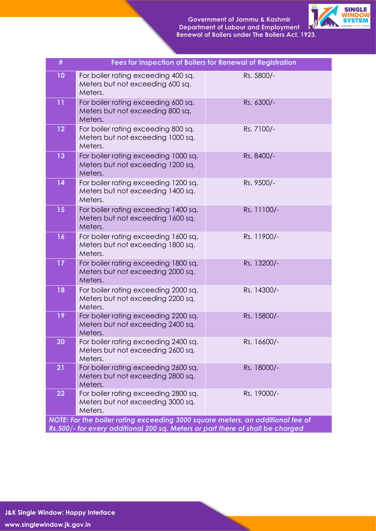

| #  | Fees for Inspection of Boilers for Renewal of Registration                           |             |
|----|--------------------------------------------------------------------------------------|-------------|
| 10 | For boiler rating exceeding 400 sq.<br>Meters but not exceeding 600 sq.<br>Meters.   | Rs. 5800/-  |
| 11 | For boiler rating exceeding 600 sq.<br>Meters but not exceeding 800 sq.<br>Meters.   | Rs. 6300/-  |
| 12 | For boiler rating exceeding 800 sq.<br>Meters but not exceeding 1000 sq.<br>Meters.  | Rs. 7100/-  |
| 13 | For boiler rating exceeding 1000 sq.<br>Meters but not exceeding 1200 sq.<br>Meters. | Rs. 8400/-  |
| 14 | For boiler rating exceeding 1200 sq.<br>Meters but not exceeding 1400 sq.<br>Meters. | Rs. 9500/-  |
| 15 | For boiler rating exceeding 1400 sq.<br>Meters but not exceeding 1600 sq.<br>Meters. | Rs. 11100/- |
| 16 | For boiler rating exceeding 1600 sq.<br>Meters but not exceeding 1800 sq.<br>Meters. | Rs. 11900/- |
| 17 | For boiler rating exceeding 1800 sq.<br>Meters but not exceeding 2000 sq.<br>Meters. | Rs. 13200/- |
| 18 | For boiler rating exceeding 2000 sq.<br>Meters but not exceeding 2200 sq.<br>Meters. | Rs. 14300/- |
| 19 | For boiler rating exceeding 2200 sq.<br>Meters but not exceeding 2400 sq.<br>Meters. | Rs. 15800/- |
| 20 | For boiler rating exceeding 2400 sq.<br>Meters but not exceeding 2600 sq.<br>Meters. | Rs. 16600/- |
| 21 | For boiler rating exceeding 2600 sq.<br>Meters but not exceeding 2800 sq.<br>Meters. | Rs. 18000/- |
| 22 | For boiler rating exceeding 2800 sq.<br>Meters but not exceeding 3000 sq.<br>Meters. | Rs. 19000/- |
|    | NOTE: For the boiler rating exceeding 3000 square meters, an additional fee of       |             |
|    | Rs.500/- for every additional 200 sq. Meters or part there of shall be charged       |             |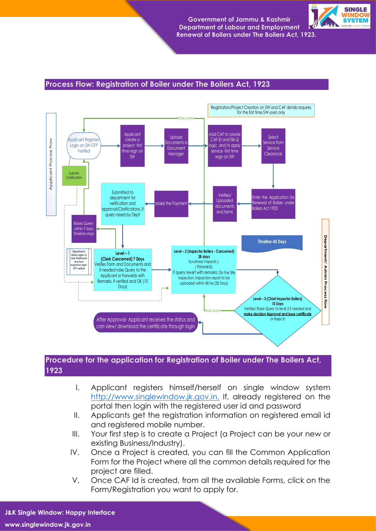

#### **Process Flow: Registration of Boiler under The Boilers Act, 1923**



## **Procedure for the application for Registration of Boiler under The Boilers Act, 1923**

- I. Applicant registers himself/herself on single window system [http://www.singlewindow.jk.gov.in.](http://www.singlewindow.jk.gov.in./) If, already registered on the portal then login with the registered user id and password
- II. Applicants get the registration information on registered email id and registered mobile number.
- III. Your first step is to create a Project (a Project can be your new or existing Business/Industry).
- IV. Once a Project is created, you can fill the Common Application Form for the Project where all the common details required for the project are filled.
- V. Once CAF Id is created, from all the available Forms, click on the Form/Registration you want to apply for.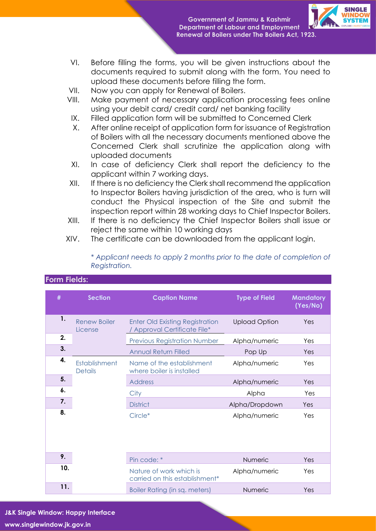

- VI. Before filling the forms, you will be given instructions about the documents required to submit along with the form. You need to upload these documents before filling the form.
- VII. Now you can apply for Renewal of Boilers.
- VIII. Make payment of necessary application processing fees online using your debit card/ credit card/ net banking facility
- IX. Filled application form will be submitted to Concerned Clerk
- X. After online receipt of application form for issuance of Registration of Boilers with all the necessary documents mentioned above the Concerned Clerk shall scrutinize the application along with uploaded documents
- XI. In case of deficiency Clerk shall report the deficiency to the applicant within 7 working days.
- XII. If there is no deficiency the Clerk shall recommend the application to Inspector Boilers having jurisdiction of the area, who is turn will conduct the Physical inspection of the Site and submit the inspection report within 28 working days to Chief Inspector Boilers.
- XIII. If there is no deficiency the Chief Inspector Boilers shall issue or reject the same within 10 working days
- XIV. The certificate can be downloaded from the applicant login.

| * Applicant needs to apply 2 months prior to the date of completion of |  |  |  |  |  |
|------------------------------------------------------------------------|--|--|--|--|--|
| Registration.                                                          |  |  |  |  |  |
|                                                                        |  |  |  |  |  |

| #   | <b>Section</b>                  | <b>Caption Name</b>                                                  | <b>Type of Field</b> | <b>Mandatory</b><br>(Yes/No) |  |
|-----|---------------------------------|----------------------------------------------------------------------|----------------------|------------------------------|--|
| 1.  | <b>Renew Boiler</b><br>License  | <b>Enter Old Existing Registration</b><br>Approval Certificate File* | <b>Upload Option</b> | Yes                          |  |
| 2.  |                                 | <b>Previous Registration Number</b>                                  | Alpha/numeric        | Yes                          |  |
| 3.  |                                 | <b>Annual Return Filled</b>                                          | Pop Up               | Yes                          |  |
| 4.  | Establishment<br><b>Details</b> | Name of the establishment<br>where boiler is installed               | Alpha/numeric        | Yes                          |  |
| 5.  |                                 | <b>Address</b>                                                       | Alpha/numeric        | Yes                          |  |
| 6.  |                                 | City                                                                 | Alpha                | Yes                          |  |
| 7.  |                                 | <b>District</b>                                                      | Alpha/Dropdown       | Yes                          |  |
| 8.  |                                 | Circle*                                                              | Alpha/numeric        | Yes                          |  |
| 9.  |                                 | Pin code: *                                                          | Numeric              | Yes                          |  |
| 10. |                                 | Nature of work which is<br>carried on this establishment*            | Alpha/numeric        | Yes                          |  |
| 11. |                                 | Boiler Rating (in sq. meters)                                        | Numeric              | Yes                          |  |

## **Form Fields:**

**J&K Single Window: Happy Interface www.singlewindow.jk.gov.in**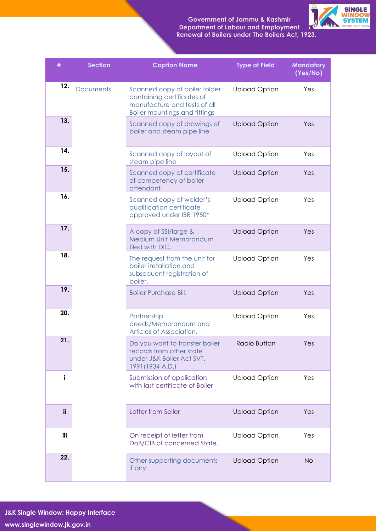**Government of Jammu & Kashmir Department of Labour and Employment Renewal of Boilers under The Boilers Act, 1923.**



| #   | <b>Section</b>   | <b>Caption Name</b>                                                                                                                 | <b>Type of Field</b>                                      | <b>Mandatory</b><br>(Yes/No) |
|-----|------------------|-------------------------------------------------------------------------------------------------------------------------------------|-----------------------------------------------------------|------------------------------|
| 12. | <b>Documents</b> | Scanned copy of boiler folder<br>containing certificates of<br>manufacture and tests of all<br><b>Boiler mountings and fittings</b> | <b>Upload Option</b>                                      | Yes                          |
| 13. |                  |                                                                                                                                     | Scanned copy of drawings of<br>boiler and steam pipe line | <b>Upload Option</b>         |
| 14. |                  | Scanned copy of layout of<br>steam pipe line                                                                                        | <b>Upload Option</b>                                      | Yes                          |
| 15. |                  | Scanned copy of certificate<br>of competency of boiler<br>attendant                                                                 | <b>Upload Option</b>                                      | Yes                          |
| 16. |                  | Scanned copy of welder's<br>qualification certificate<br>approved under IBR 1950*                                                   | <b>Upload Option</b>                                      | Yes                          |
| 17. |                  | A copy of SSI/large &<br>Medium Unit Memorandum<br>filed with DIC.                                                                  | <b>Upload Option</b>                                      | Yes                          |
| 18. |                  | The request from the unit for<br>boiler installation and<br>subsequent registration of<br>boiler.                                   | <b>Upload Option</b>                                      | Yes                          |
| 19. |                  | <b>Boiler Purchase Bill.</b>                                                                                                        | <b>Upload Option</b>                                      | Yes                          |
| 20. |                  | Partnership<br>deeds/Memorandum and<br>Articles of Association.                                                                     | <b>Upload Option</b>                                      | Yes                          |
| 21. |                  | Do you want to transfer boiler<br>records from other state<br>under J&K Boiler Act SVT.<br>1991 (1934 A.D.)                         | <b>Radio Button</b>                                       | Yes                          |
| i   |                  | Submission of application<br>with last certificate of Boiler                                                                        | <b>Upload Option</b>                                      | Yes                          |
| ii  |                  | Letter from Seller                                                                                                                  | <b>Upload Option</b>                                      | Yes                          |
| iii |                  | On receipt of letter from<br>DoB/CIB of concerned State.                                                                            | <b>Upload Option</b>                                      | Yes                          |
| 22. |                  | Other supporting documents<br>if any                                                                                                | <b>Upload Option</b>                                      | <b>No</b>                    |